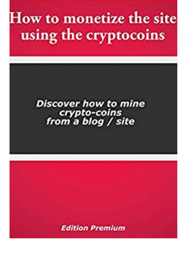## How to monetize the site using the cryptocoins

## **Discover how to mine** crypto-coins<br>from a blog / site

**Edition Premium**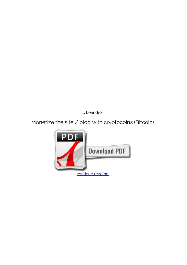*., Leandro*

## **Monetize the site / blog with cryptocoins (Bitcoin)**

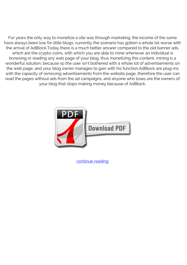For years the only way to monetize a site was through marketing, the income of the same have always been low for little blogs, currently the scenario has gotten a whole lot worse with the arrival of AdBlock.Today there is a much better answer compared to the old banner ads, which are the crypto-coins, with which you are able to mine whenever an individual is browsing or reading any web page of your blog, thus monetizing this content, mining is a wonderful solution, because so the user isn't bothered with a whole lot of advertisements on the web page, and your blog owner manages to gain with his function.AdBlock are plug-ins with the capacity of removing advertisements from the website page, therefore the user can read the pages without ads from the ad campaigns, and anyone who loses are the owners of your blog that stops making money because of AdBlock.



[continue reading](http://bit.ly/2Tge8Fv)